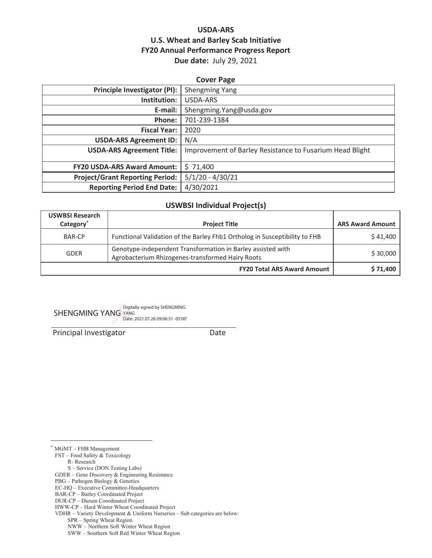## **USDA-ARS U.S. Wheat and Barley Scab Initiative FY20 Annual Performance Progress Report Due date:** July 29, 2021

| <b>Cover Page</b>                      |                                                          |  |  |
|----------------------------------------|----------------------------------------------------------|--|--|
| Principle Investigator (PI):           | <b>Shengming Yang</b>                                    |  |  |
| Institution:                           | USDA-ARS                                                 |  |  |
| E-mail:                                | Shengming. Yang@usda.gov                                 |  |  |
| Phone:                                 | 701-239-1384                                             |  |  |
| <b>Fiscal Year:</b>                    | 2020                                                     |  |  |
| <b>USDA-ARS Agreement ID:</b>          | N/A                                                      |  |  |
| <b>USDA-ARS Agreement Title:</b>       | Improvement of Barley Resistance to Fusarium Head Blight |  |  |
|                                        |                                                          |  |  |
| <b>FY20 USDA-ARS Award Amount:</b>     | \$71,400                                                 |  |  |
| <b>Project/Grant Reporting Period:</b> | $5/1/20 - 4/30/21$                                       |  |  |
| <b>Reporting Period End Date:</b>      | 4/30/2021                                                |  |  |

#### **USWBSI Individual Project(s)**

| <b>USWBSI Research</b> |                                                                                                                 |          |
|------------------------|-----------------------------------------------------------------------------------------------------------------|----------|
| Category <sup>*</sup>  | <b>Project Title</b>                                                                                            |          |
| <b>BAR-CP</b>          | Functional Validation of the Barley Fhb1 Ortholog in Susceptibility to FHB                                      | \$41,400 |
| <b>GDER</b>            | Genotype-independent Transformation in Barley assisted with<br>Agrobacterium Rhizogenes-transformed Hairy Roots | \$30,000 |
|                        | <b>FY20 Total ARS Award Amount</b>                                                                              | \$71,400 |

SHENGMING YANG Digitally signed by SHENGMING YANG Date: 2021.07.26 09:06:31 -05'00'

Principal Investigator **Date** 

\* MGMT – FHB Management

FST – Food Safety & Toxicology

R- Research

S – Service (DON Testing Labs)

PBG – Pathogen Biology & Genetics

GDER – Gene Discovery & Engineering Resistance

EC-HQ – Executive Committee-Headquarters

BAR-CP – Barley Coordinated Project

DUR-CP – Durum Coordinated Project

HWW-CP – Hard Winter Wheat Coordinated Project

VDHR – Variety Development & Uniform Nurseries – Sub categories are below:

SPR – Spring Wheat Region

NWW – Northern Soft Winter Wheat Region

SWW – Southern Soft Red Winter Wheat Region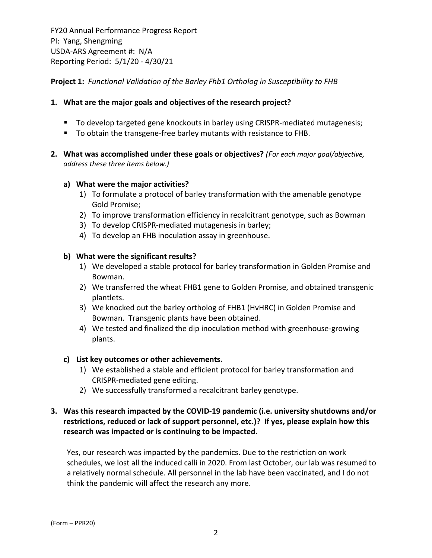**Project 1:** *Functional Validation of the Barley Fhb1 Ortholog in Susceptibility to FHB*

## **1. What are the major goals and objectives of the research project?**

- To develop targeted gene knockouts in barley using CRISPR-mediated mutagenesis;
- To obtain the transgene-free barley mutants with resistance to FHB.
- **2. What was accomplished under these goals or objectives?** *(For each major goal/objective, address these three items below.)*

#### **a) What were the major activities?**

- 1) To formulate a protocol of barley transformation with the amenable genotype Gold Promise;
- 2) To improve transformation efficiency in recalcitrant genotype, such as Bowman
- 3) To develop CRISPR‐mediated mutagenesis in barley;
- 4) To develop an FHB inoculation assay in greenhouse.

#### **b) What were the significant results?**

- 1) We developed a stable protocol for barley transformation in Golden Promise and Bowman.
- 2) We transferred the wheat FHB1 gene to Golden Promise, and obtained transgenic plantlets.
- 3) We knocked out the barley ortholog of FHB1 (HvHRC) in Golden Promise and Bowman. Transgenic plants have been obtained.
- 4) We tested and finalized the dip inoculation method with greenhouse-growing plants.

#### **c) List key outcomes or other achievements.**

- 1) We established a stable and efficient protocol for barley transformation and CRISPR‐mediated gene editing.
- 2) We successfully transformed a recalcitrant barley genotype.

## **3. Was this research impacted by the COVID‐19 pandemic (i.e. university shutdowns and/or restrictions, reduced or lack of support personnel, etc.)? If yes, please explain how this research was impacted or is continuing to be impacted.**

Yes, our research was impacted by the pandemics. Due to the restriction on work schedules, we lost all the induced calli in 2020. From last October, our lab was resumed to a relatively normal schedule. All personnel in the lab have been vaccinated, and I do not think the pandemic will affect the research any more.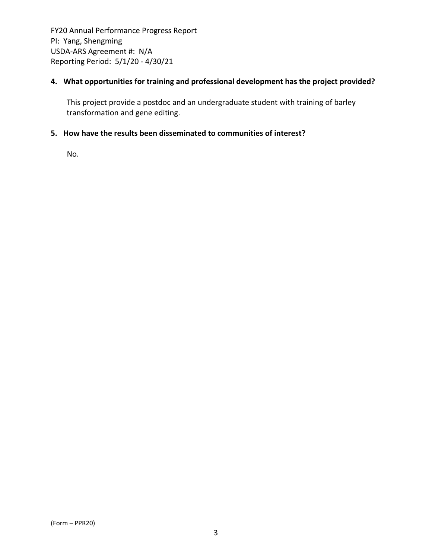## **4. What opportunities for training and professional development has the project provided?**

This project provide a postdoc and an undergraduate student with training of barley transformation and gene editing.

## **5. How have the results been disseminated to communities of interest?**

No.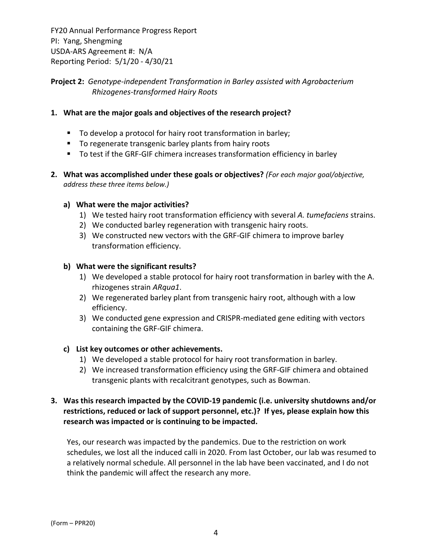## **Project 2:** *Genotype‐independent Transformation in Barley assisted with Agrobacterium Rhizogenes‐transformed Hairy Roots*

## **1. What are the major goals and objectives of the research project?**

- To develop a protocol for hairy root transformation in barley;
- **T** To regenerate transgenic barley plants from hairy roots
- To test if the GRF-GIF chimera increases transformation efficiency in barley
- **2. What was accomplished under these goals or objectives?** *(For each major goal/objective, address these three items below.)*

#### **a) What were the major activities?**

- 1) We tested hairy root transformation efficiency with several *A. tumefaciens* strains.
- 2) We conducted barley regeneration with transgenic hairy roots.
- 3) We constructed new vectors with the GRF‐GIF chimera to improve barley transformation efficiency.

#### **b) What were the significant results?**

- 1) We developed a stable protocol for hairy root transformation in barley with the A. rhizogenes strain *ARqua1*.
- 2) We regenerated barley plant from transgenic hairy root, although with a low efficiency.
- 3) We conducted gene expression and CRISPR‐mediated gene editing with vectors containing the GRF‐GIF chimera.

## **c) List key outcomes or other achievements.**

- 1) We developed a stable protocol for hairy root transformation in barley.
- 2) We increased transformation efficiency using the GRF‐GIF chimera and obtained transgenic plants with recalcitrant genotypes, such as Bowman.

## **3. Was this research impacted by the COVID‐19 pandemic (i.e. university shutdowns and/or restrictions, reduced or lack of support personnel, etc.)? If yes, please explain how this research was impacted or is continuing to be impacted.**

Yes, our research was impacted by the pandemics. Due to the restriction on work schedules, we lost all the induced calli in 2020. From last October, our lab was resumed to a relatively normal schedule. All personnel in the lab have been vaccinated, and I do not think the pandemic will affect the research any more.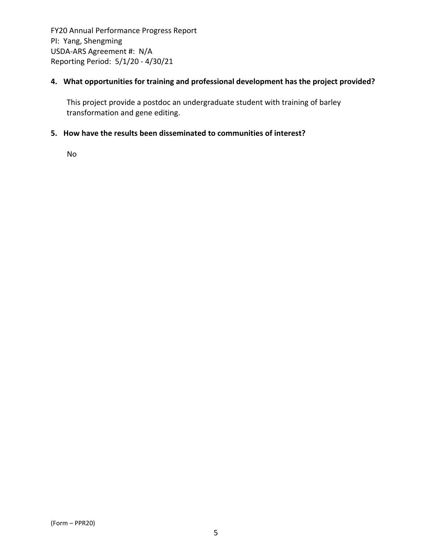## **4. What opportunities for training and professional development has the project provided?**

This project provide a postdoc an undergraduate student with training of barley transformation and gene editing.

## **5. How have the results been disseminated to communities of interest?**

No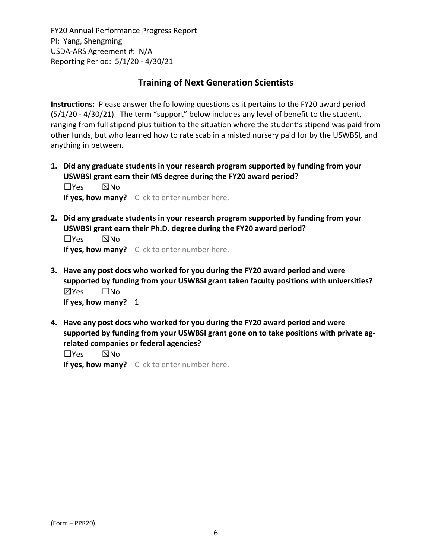## **Training of Next Generation Scientists**

**Instructions:** Please answer the following questions as it pertains to the FY20 award period (5/1/20 ‐ 4/30/21). The term "support" below includes any level of benefit to the student, ranging from full stipend plus tuition to the situation where the student's stipend was paid from other funds, but who learned how to rate scab in a misted nursery paid for by the USWBSI, and anything in between.

**1. Did any graduate students in your research program supported by funding from your USWBSI grant earn their MS degree during the FY20 award period?** ☐Yes ☒No

**If yes, how many?** Click to enter number here.

**2. Did any graduate students in your research program supported by funding from your USWBSI grant earn their Ph.D. degree during the FY20 award period?**

☐Yes ☒No **If yes, how many?** Click to enter number here.

- **3. Have any post docs who worked for you during the FY20 award period and were supported by funding from your USWBSI grant taken faculty positions with universities?** ☒Yes ☐No **If yes, how many?** 1
- **4. Have any post docs who worked for you during the FY20 award period and were supported by funding from your USWBSI grant gone on to take positions with private ag‐ related companies or federal agencies?**

☐Yes ☒No

**If yes, how many?** Click to enter number here.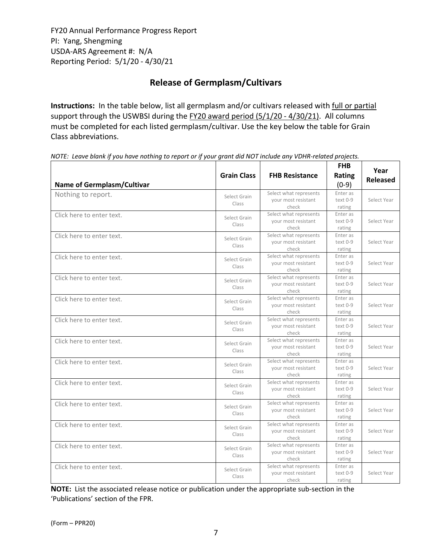# **Release of Germplasm/Cultivars**

**Instructions:** In the table below, list all germplasm and/or cultivars released with full or partial support through the USWBSI during the FY20 award period (5/1/20 - 4/30/21). All columns must be completed for each listed germplasm/cultivar. Use the key below the table for Grain Class abbreviations. 

| <b>Name of Germplasm/Cultivar</b> | <b>Grain Class</b>    | <b>FHB Resistance</b>                                  | <b>FHB</b><br><b>Rating</b><br>$(0-9)$ | Year<br><b>Released</b> |
|-----------------------------------|-----------------------|--------------------------------------------------------|----------------------------------------|-------------------------|
| Nothing to report.                | Select Grain<br>Class | Select what represents<br>your most resistant<br>check | Enter as<br>text 0-9<br>rating         | Select Year             |
| Click here to enter text.         | Select Grain<br>Class | Select what represents<br>your most resistant<br>check | Enter as<br>text 0-9<br>rating         | Select Year             |
| Click here to enter text.         | Select Grain<br>Class | Select what represents<br>your most resistant<br>check | Enter as<br>$text 0-9$<br>rating       | Select Year             |
| Click here to enter text.         | Select Grain<br>Class | Select what represents<br>your most resistant<br>check | Enter as<br>text 0-9<br>rating         | Select Year             |
| Click here to enter text.         | Select Grain<br>Class | Select what represents<br>your most resistant<br>check | Enter as<br>text 0-9<br>rating         | Select Year             |
| Click here to enter text.         | Select Grain<br>Class | Select what represents<br>your most resistant<br>check | Enter as<br>text 0-9<br>rating         | Select Year             |
| Click here to enter text.         | Select Grain<br>Class | Select what represents<br>your most resistant<br>check | Enter as<br>text 0-9<br>rating         | Select Year             |
| Click here to enter text.         | Select Grain<br>Class | Select what represents<br>your most resistant<br>check | Enter as<br>text 0-9<br>rating         | Select Year             |
| Click here to enter text.         | Select Grain<br>Class | Select what represents<br>your most resistant<br>check | Enter as<br>text 0-9<br>rating         | Select Year             |
| Click here to enter text.         | Select Grain<br>Class | Select what represents<br>your most resistant<br>check | Enter as<br>text 0-9<br>rating         | Select Year             |
| Click here to enter text.         | Select Grain<br>Class | Select what represents<br>your most resistant<br>check | Enter as<br>text 0-9<br>rating         | Select Year             |
| Click here to enter text.         | Select Grain<br>Class | Select what represents<br>your most resistant<br>check | Enter as<br>$text 0-9$<br>rating       | Select Year             |
| Click here to enter text.         | Select Grain<br>Class | Select what represents<br>your most resistant<br>check | Enter as<br>text 0-9<br>rating         | Select Year             |
| Click here to enter text.         | Select Grain<br>Class | Select what represents<br>your most resistant<br>check | Enter as<br>text 0-9<br>rating         | Select Year             |

NOTE: Leave blank if you have nothing to report or if your grant did NOT include any VDHR-related projects.

**NOTE:** List the associated release notice or publication under the appropriate sub-section in the 'Publications' section of the FPR.